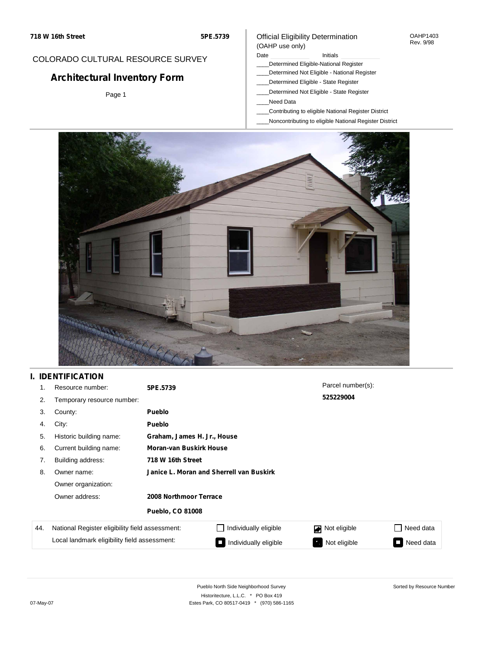#### OAHP1403 Rev. 9/98

### COLORADO CULTURAL RESOURCE SURVEY

# **Architectural Inventory Form**

Page 1

# (OAHP use only)

Official Eligibility Determination

Date **Initials** Initials

- \_\_\_\_Determined Eligible-National Register \_\_\_\_Determined Not Eligible - National Register
- \_\_\_\_Determined Eligible State Register
- \_\_\_\_Determined Not Eligible State Register
- \_\_\_\_Need Data
- \_\_\_\_Contributing to eligible National Register District
- \_\_\_\_Noncontributing to eligible National Register District



## **I. IDENTIFICATION**

| 1.  | Resource number:                                | 5PE.5739                                 |                             | Parcel number(s): |           |  |  |  |
|-----|-------------------------------------------------|------------------------------------------|-----------------------------|-------------------|-----------|--|--|--|
| 2.  | Temporary resource number:                      |                                          |                             | 525229004         |           |  |  |  |
| 3.  | County:                                         | <b>Pueblo</b>                            |                             |                   |           |  |  |  |
| 4.  | City:                                           | <b>Pueblo</b>                            |                             |                   |           |  |  |  |
| 5.  | Historic building name:                         |                                          | Graham, James H. Jr., House |                   |           |  |  |  |
| 6.  | Current building name:                          | <b>Moran-van Buskirk House</b>           |                             |                   |           |  |  |  |
| 7.  | Building address:                               | 718 W 16th Street                        |                             |                   |           |  |  |  |
| 8.  | Owner name:                                     | Janice L. Moran and Sherrell van Buskirk |                             |                   |           |  |  |  |
|     | Owner organization:                             |                                          |                             |                   |           |  |  |  |
|     | Owner address:                                  | 2008 Northmoor Terrace                   |                             |                   |           |  |  |  |
|     |                                                 | <b>Pueblo, CO 81008</b>                  |                             |                   |           |  |  |  |
| 44. | National Register eligibility field assessment: |                                          | Individually eligible       | Not eligible      | Need data |  |  |  |
|     | Local landmark eligibility field assessment:    |                                          | Individually eligible       | Not eligible      | Need data |  |  |  |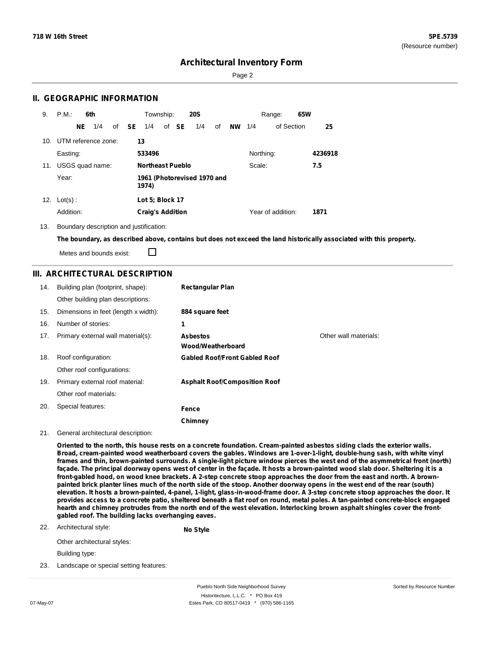Page 2

### **II. GEOGRAPHIC INFORMATION**

| 9.  | P.M.                    |    | 6th             |              | Township:               |       | <b>20S</b>                  |    |           |           | Range:            | 65W |         |
|-----|-------------------------|----|-----------------|--------------|-------------------------|-------|-----------------------------|----|-----------|-----------|-------------------|-----|---------|
|     |                         | NE | 1/4             | of <b>SE</b> | 1/4                     | of SE | 1/4                         | of | <b>NW</b> | 1/4       | of Section        |     | 25      |
|     | 10. UTM reference zone: |    |                 |              | 13                      |       |                             |    |           |           |                   |     |         |
|     | Easting:                |    |                 |              | 533496                  |       |                             |    |           | Northing: |                   |     | 4236918 |
| 11. |                         |    | USGS quad name: |              | <b>Northeast Pueblo</b> |       |                             |    |           | Scale:    |                   |     | 7.5     |
|     | Year:                   |    |                 |              | 1974)                   |       | 1961 (Photorevised 1970 and |    |           |           |                   |     |         |
| 12. | $Lot(s)$ :              |    |                 |              | Lot 5; Block 17         |       |                             |    |           |           |                   |     |         |
|     | Addition:               |    |                 |              | <b>Craig's Addition</b> |       |                             |    |           |           | Year of addition: |     | 1871    |

13. Boundary description and justification:

The boundary, as described above, contains but does not exceed the land historically associated with this property.

П Metes and bounds exist:

### **III. ARCHITECTURAL DESCRIPTION**

| 14. | Building plan (footprint, shape):    | <b>Rectangular Plan</b>              |                       |
|-----|--------------------------------------|--------------------------------------|-----------------------|
|     | Other building plan descriptions:    |                                      |                       |
| 15. | Dimensions in feet (length x width): | 884 square feet                      |                       |
| 16. | Number of stories:                   | 1                                    |                       |
| 17. | Primary external wall material(s):   | <b>Asbestos</b><br>Wood/Weatherboard | Other wall materials: |
| 18. | Roof configuration:                  | <b>Gabled Roof/Front Gabled Roof</b> |                       |
|     | Other roof configurations:           |                                      |                       |
| 19. | Primary external roof material:      | <b>Asphalt Roof/Composition Roof</b> |                       |
|     | Other roof materials:                |                                      |                       |
| 20. | Special features:                    | Fence                                |                       |
|     |                                      | Chimney                              |                       |

#### 21. General architectural description:

Oriented to the north, this house rests on a concrete foundation. Cream-painted asbestos siding clads the exterior walls. Broad, cream-painted wood weatherboard covers the gables. Windows are 1-over-1-light, double-hung sash, with white vinyl frames and thin, brown-painted surrounds. A single-light picture window pierces the west end of the asymmetrical front (north) façade. The principal doorway opens west of center in the façade. It hosts a brown-painted wood slab door. Sheltering it is a front-gabled hood, on wood knee brackets. A 2-step concrete stoop approaches the door from the east and north. A brownpainted brick planter lines much of the north side of the stoop. Another doorway opens in the west end of the rear (south) elevation. It hosts a brown-painted, 4-panel, 1-light, glass-in-wood-frame door. A 3-step concrete stoop approaches the door. It provides access to a concrete patio, sheltered beneath a flat roof on round, metal poles. A tan-painted concrete-block engaged hearth and chimney protrudes from the north end of the west elevation. Interlocking brown asphalt shingles cover the front**gabled roof. The building lacks overhanging eaves.**

22. Architectural style: **No Style**

Other architectural styles:

Building type:

23. Landscape or special setting features: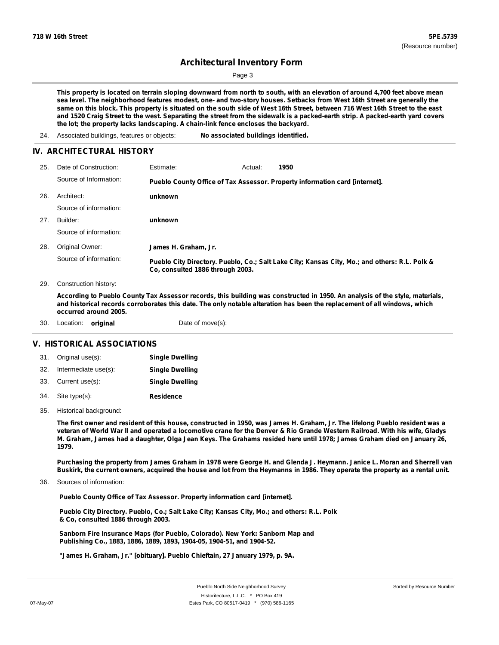Page 3

This property is located on terrain sloping downward from north to south, with an elevation of around 4,700 feet above mean sea level. The neighborhood features modest, one- and two-story houses. Setbacks from West 16th Street are generally the same on this block. This property is situated on the south side of West 16th Street, between 716 West 16th Street to the east and 1520 Craig Street to the west. Separating the street from the sidewalk is a packed-earth strip. A packed-earth yard covers **the lot; the property lacks landscaping. A chain-link fence encloses the backyard.**

### **IV. ARCHITECTURAL HISTORY**

| 25. | Date of Construction:  | Estimate:                        | Actual: | 1950                                                                                          |
|-----|------------------------|----------------------------------|---------|-----------------------------------------------------------------------------------------------|
|     | Source of Information: |                                  |         | Pueblo County Office of Tax Assessor. Property information card [internet].                   |
| 26. | Architect:             | unknown                          |         |                                                                                               |
|     | Source of information: |                                  |         |                                                                                               |
| 27. | Builder:               | unknown                          |         |                                                                                               |
|     | Source of information: |                                  |         |                                                                                               |
| 28. | Original Owner:        | James H. Graham, Jr.             |         |                                                                                               |
|     | Source of information: | Co, consulted 1886 through 2003. |         | Pueblo City Directory. Pueblo, Co.; Salt Lake City; Kansas City, Mo.; and others: R.L. Polk & |
| 29. | Construction history:  |                                  |         |                                                                                               |

According to Pueblo County Tax Assessor records, this building was constructed in 1950. An analysis of the style, materials, and historical records corroborates this date. The only notable alteration has been the replacement of all windows, which **occurred around 2005.**

| 30. | Location: <b>original</b> |  | Date of move(s): |
|-----|---------------------------|--|------------------|
|-----|---------------------------|--|------------------|

### **V. HISTORICAL ASSOCIATIONS**

| 31. Original use(s):     | <b>Single Dwelling</b> |
|--------------------------|------------------------|
| 32. Intermediate use(s): | <b>Single Dwelling</b> |
| 33. Current use(s):      | <b>Single Dwelling</b> |
| 34. Site type(s):        | <b>Residence</b>       |

35. Historical background:

The first owner and resident of this house, constructed in 1950, was James H. Graham, Jr. The lifelong Pueblo resident was a veteran of World War II and operated a locomotive crane for the Denver & Rio Grande Western Railroad. With his wife, Gladys M. Graham, James had a daughter, Olga Jean Keys. The Grahams resided here until 1978; James Graham died on January 26, **1979.**

Purchasing the property from James Graham in 1978 were George H. and Glenda J. Heymann. Janice L. Moran and Sherrell van Buskirk, the current owners, acquired the house and lot from the Heymanns in 1986. They operate the property as a rental unit.

Sources of information: 36.

**Pueblo County Office of Tax Assessor. Property information card [internet].**

**Pueblo City Directory. Pueblo, Co.; Salt Lake City; Kansas City, Mo.; and others: R.L. Polk & Co, consulted 1886 through 2003.**

**Sanborn Fire Insurance Maps (for Pueblo, Colorado). New York: Sanborn Map and Publishing Co., 1883, 1886, 1889, 1893, 1904-05, 1904-51, and 1904-52.**

**"James H. Graham, Jr." [obituary]. Pueblo Chieftain, 27 January 1979, p. 9A.**

<sup>24.</sup> Associated buildings, features or objects: **No associated buildings identified.**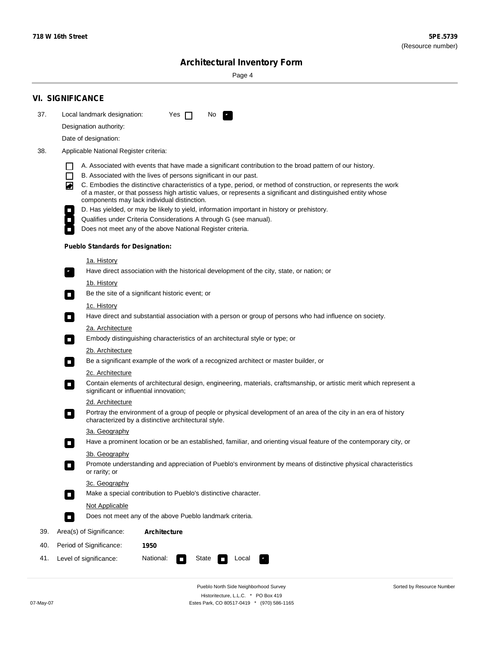Sorted by Resource Number

# **Architectural Inventory Form**

Page 4

|     | <b>VI. SIGNIFICANCE</b>                                                                                                                                                                                                                |  |  |  |  |  |  |  |
|-----|----------------------------------------------------------------------------------------------------------------------------------------------------------------------------------------------------------------------------------------|--|--|--|--|--|--|--|
| 37. | Local landmark designation:<br>Yes<br>No.<br>$\mathsf{I}$<br>и,                                                                                                                                                                        |  |  |  |  |  |  |  |
|     | Designation authority:                                                                                                                                                                                                                 |  |  |  |  |  |  |  |
|     | Date of designation:                                                                                                                                                                                                                   |  |  |  |  |  |  |  |
| 38. | Applicable National Register criteria:                                                                                                                                                                                                 |  |  |  |  |  |  |  |
|     | A. Associated with events that have made a significant contribution to the broad pattern of our history.                                                                                                                               |  |  |  |  |  |  |  |
|     | B. Associated with the lives of persons significant in our past.<br>$\Box$                                                                                                                                                             |  |  |  |  |  |  |  |
|     | ◙<br>C. Embodies the distinctive characteristics of a type, period, or method of construction, or represents the work<br>of a master, or that possess high artistic values, or represents a significant and distinguished entity whose |  |  |  |  |  |  |  |
|     | components may lack individual distinction.<br>D. Has yielded, or may be likely to yield, information important in history or prehistory.                                                                                              |  |  |  |  |  |  |  |
|     | Qualifies under Criteria Considerations A through G (see manual).<br>$\Box$                                                                                                                                                            |  |  |  |  |  |  |  |
|     | Does not meet any of the above National Register criteria.                                                                                                                                                                             |  |  |  |  |  |  |  |
|     | <b>Pueblo Standards for Designation:</b>                                                                                                                                                                                               |  |  |  |  |  |  |  |
|     | <u>1a. History</u>                                                                                                                                                                                                                     |  |  |  |  |  |  |  |
|     | Have direct association with the historical development of the city, state, or nation; or                                                                                                                                              |  |  |  |  |  |  |  |
|     | 1b. History                                                                                                                                                                                                                            |  |  |  |  |  |  |  |
|     | Be the site of a significant historic event; or<br>$\overline{\phantom{a}}$                                                                                                                                                            |  |  |  |  |  |  |  |
|     | 1c. History<br>Have direct and substantial association with a person or group of persons who had influence on society.<br>$\overline{\phantom{a}}$                                                                                     |  |  |  |  |  |  |  |
|     | 2a. Architecture                                                                                                                                                                                                                       |  |  |  |  |  |  |  |
|     | Embody distinguishing characteristics of an architectural style or type; or<br>$\overline{\phantom{a}}$                                                                                                                                |  |  |  |  |  |  |  |
|     | 2b. Architecture                                                                                                                                                                                                                       |  |  |  |  |  |  |  |
|     | Be a significant example of the work of a recognized architect or master builder, or<br>$\Box$                                                                                                                                         |  |  |  |  |  |  |  |
|     | <b>2c. Architecture</b>                                                                                                                                                                                                                |  |  |  |  |  |  |  |
|     | Contain elements of architectural design, engineering, materials, craftsmanship, or artistic merit which represent a<br>$\Box$<br>significant or influential innovation;                                                               |  |  |  |  |  |  |  |
|     | 2d. Architecture                                                                                                                                                                                                                       |  |  |  |  |  |  |  |
|     | Portray the environment of a group of people or physical development of an area of the city in an era of history<br>$\overline{\phantom{a}}$<br>characterized by a distinctive architectural style.                                    |  |  |  |  |  |  |  |
|     | 3a. Geography                                                                                                                                                                                                                          |  |  |  |  |  |  |  |
|     | Have a prominent location or be an established, familiar, and orienting visual feature of the contemporary city, or<br>П                                                                                                               |  |  |  |  |  |  |  |
|     | 3b. Geography                                                                                                                                                                                                                          |  |  |  |  |  |  |  |
|     | Promote understanding and appreciation of Pueblo's environment by means of distinctive physical characteristics<br>or rarity; or                                                                                                       |  |  |  |  |  |  |  |
|     | 3c. Geography                                                                                                                                                                                                                          |  |  |  |  |  |  |  |
|     | Make a special contribution to Pueblo's distinctive character.<br>$\Box$                                                                                                                                                               |  |  |  |  |  |  |  |
|     | Not Applicable                                                                                                                                                                                                                         |  |  |  |  |  |  |  |
|     | Does not meet any of the above Pueblo landmark criteria.<br>$\Box$                                                                                                                                                                     |  |  |  |  |  |  |  |
| 39. | Area(s) of Significance:<br><b>Architecture</b>                                                                                                                                                                                        |  |  |  |  |  |  |  |
| 40. | Period of Significance:<br>1950                                                                                                                                                                                                        |  |  |  |  |  |  |  |
| 41. | National:<br>Level of significance:<br>State<br>Local<br>П                                                                                                                                                                             |  |  |  |  |  |  |  |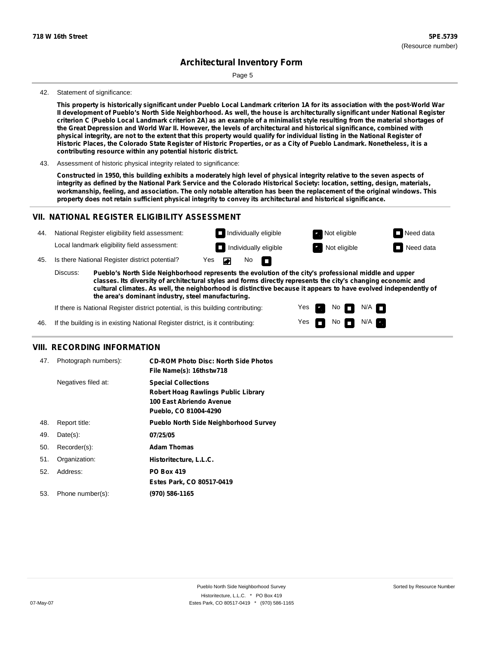Page 5

#### 42. Statement of significance:

This property is historically significant under Pueblo Local Landmark criterion 1A for its association with the post-World War Il development of Pueblo's North Side Neighborhood. As well, the house is architecturally significant under National Register criterion C (Pueblo Local Landmark criterion 2A) as an example of a minimalist style resulting from the material shortages of the Great Depression and World War II. However, the levels of architectural and historical significance, combined with physical integrity, are not to the extent that this property would qualify for individual listing in the National Register of Historic Places, the Colorado State Register of Historic Properties, or as a City of Pueblo Landmark. Nonetheless, it is a **contributing resource within any potential historic district.**

43. Assessment of historic physical integrity related to significance:

Constructed in 1950, this building exhibits a moderately high level of physical integrity relative to the seven aspects of integrity as defined by the National Park Service and the Colorado Historical Society: location, setting, design, materials, workmanship, feeling, and association. The only notable alteration has been the replacement of the original windows. This **property does not retain sufficient physical integrity to convey its architectural and historical significance.**

#### **VII. NATIONAL REGISTER ELIGIBILITY ASSESSMENT**



**classes. Its diversity of architectural styles and forms directly represents the city's changing economic and cultural climates. As well, the neighborhood is distinctive because it appears to have evolved independently of the area's dominant industry, steel manufacturing.**

> Yes Yes

Non<sub>d</sub> N/A No  $\blacksquare$  N/A  $\blacksquare$ 

If there is National Register district potential, is this building contributing:

If the building is in existing National Register district, is it contributing: 46.

#### **VIII. RECORDING INFORMATION**

| 47. | Photograph numbers): | <b>CD-ROM Photo Disc: North Side Photos</b><br>File Name(s): 16thstw718                                                       |
|-----|----------------------|-------------------------------------------------------------------------------------------------------------------------------|
|     | Negatives filed at:  | <b>Special Collections</b><br><b>Robert Hoag Rawlings Public Library</b><br>100 East Abriendo Avenue<br>Pueblo, CO 81004-4290 |
| 48. | Report title:        | <b>Pueblo North Side Neighborhood Survey</b>                                                                                  |
| 49. | $Date(s)$ :          | 07/25/05                                                                                                                      |
| 50. | Recorder(s):         | <b>Adam Thomas</b>                                                                                                            |
| 51. | Organization:        | Historitecture, L.L.C.                                                                                                        |
| 52. | Address:             | <b>PO Box 419</b>                                                                                                             |
|     |                      | Estes Park, CO 80517-0419                                                                                                     |
| 53. | Phone number(s):     | (970) 586-1165                                                                                                                |
|     |                      |                                                                                                                               |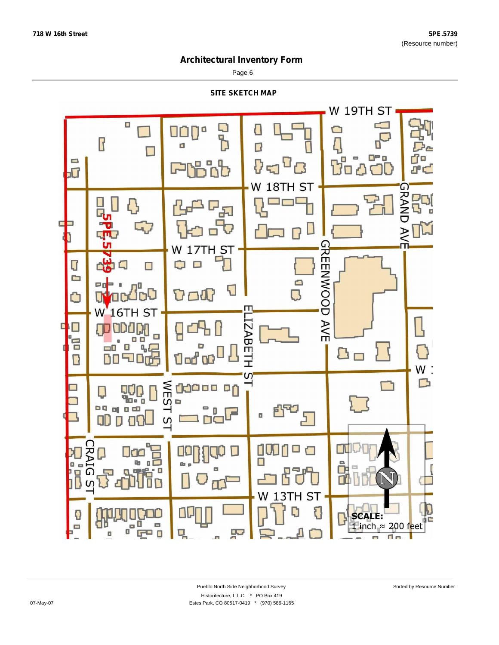Page 6